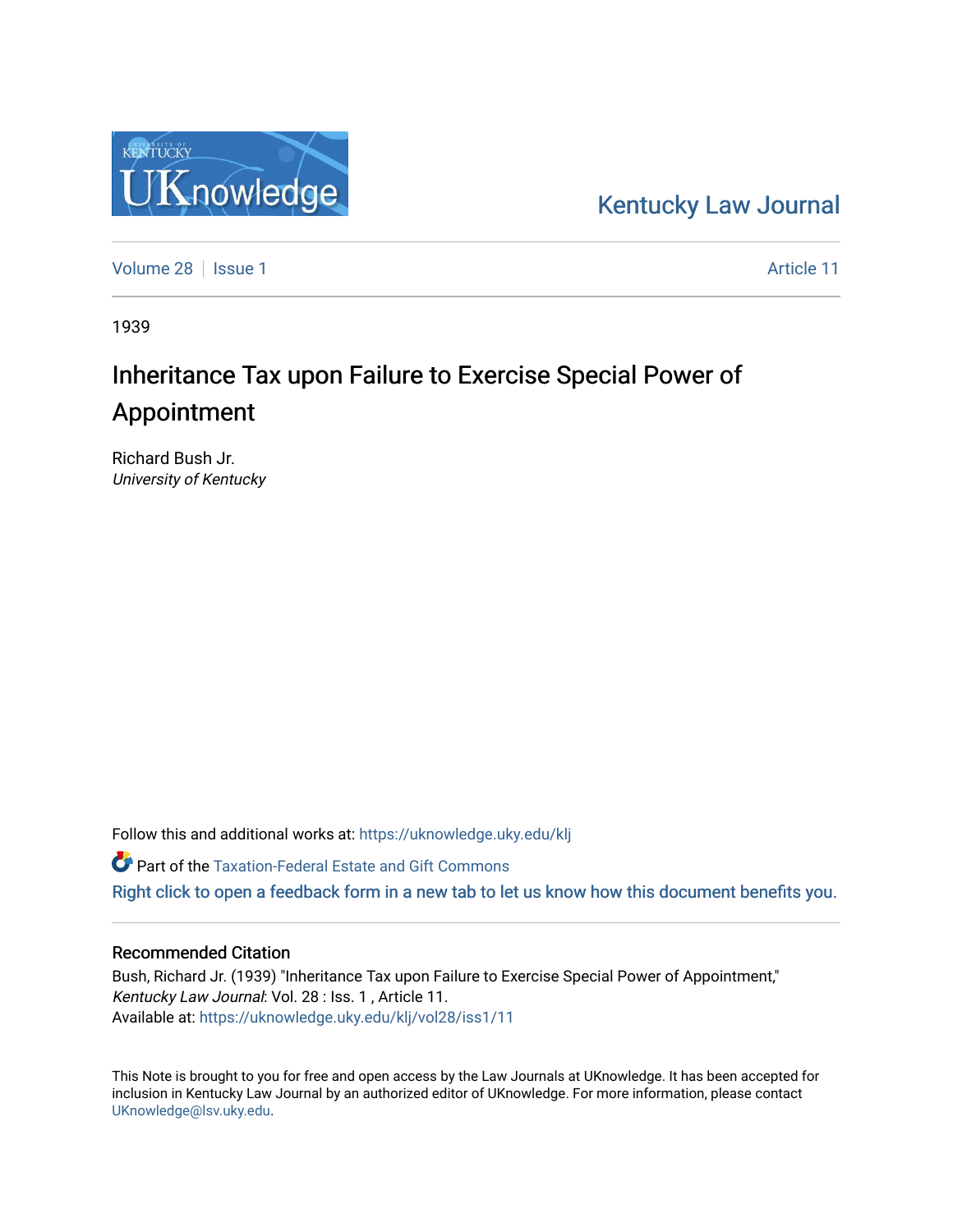## [Kentucky Law Journal](https://uknowledge.uky.edu/klj)

[Volume 28](https://uknowledge.uky.edu/klj/vol28) | [Issue 1](https://uknowledge.uky.edu/klj/vol28/iss1) Article 11

1939

## Inheritance Tax upon Failure to Exercise Special Power of Appointment

Richard Bush Jr. University of Kentucky

Follow this and additional works at: [https://uknowledge.uky.edu/klj](https://uknowledge.uky.edu/klj?utm_source=uknowledge.uky.edu%2Fklj%2Fvol28%2Fiss1%2F11&utm_medium=PDF&utm_campaign=PDFCoverPages)

Part of the [Taxation-Federal Estate and Gift Commons](http://network.bepress.com/hgg/discipline/880?utm_source=uknowledge.uky.edu%2Fklj%2Fvol28%2Fiss1%2F11&utm_medium=PDF&utm_campaign=PDFCoverPages) 

[Right click to open a feedback form in a new tab to let us know how this document benefits you.](https://uky.az1.qualtrics.com/jfe/form/SV_9mq8fx2GnONRfz7)

## Recommended Citation

Bush, Richard Jr. (1939) "Inheritance Tax upon Failure to Exercise Special Power of Appointment," Kentucky Law Journal: Vol. 28 : Iss. 1 , Article 11. Available at: [https://uknowledge.uky.edu/klj/vol28/iss1/11](https://uknowledge.uky.edu/klj/vol28/iss1/11?utm_source=uknowledge.uky.edu%2Fklj%2Fvol28%2Fiss1%2F11&utm_medium=PDF&utm_campaign=PDFCoverPages) 

This Note is brought to you for free and open access by the Law Journals at UKnowledge. It has been accepted for inclusion in Kentucky Law Journal by an authorized editor of UKnowledge. For more information, please contact [UKnowledge@lsv.uky.edu.](mailto:UKnowledge@lsv.uky.edu)

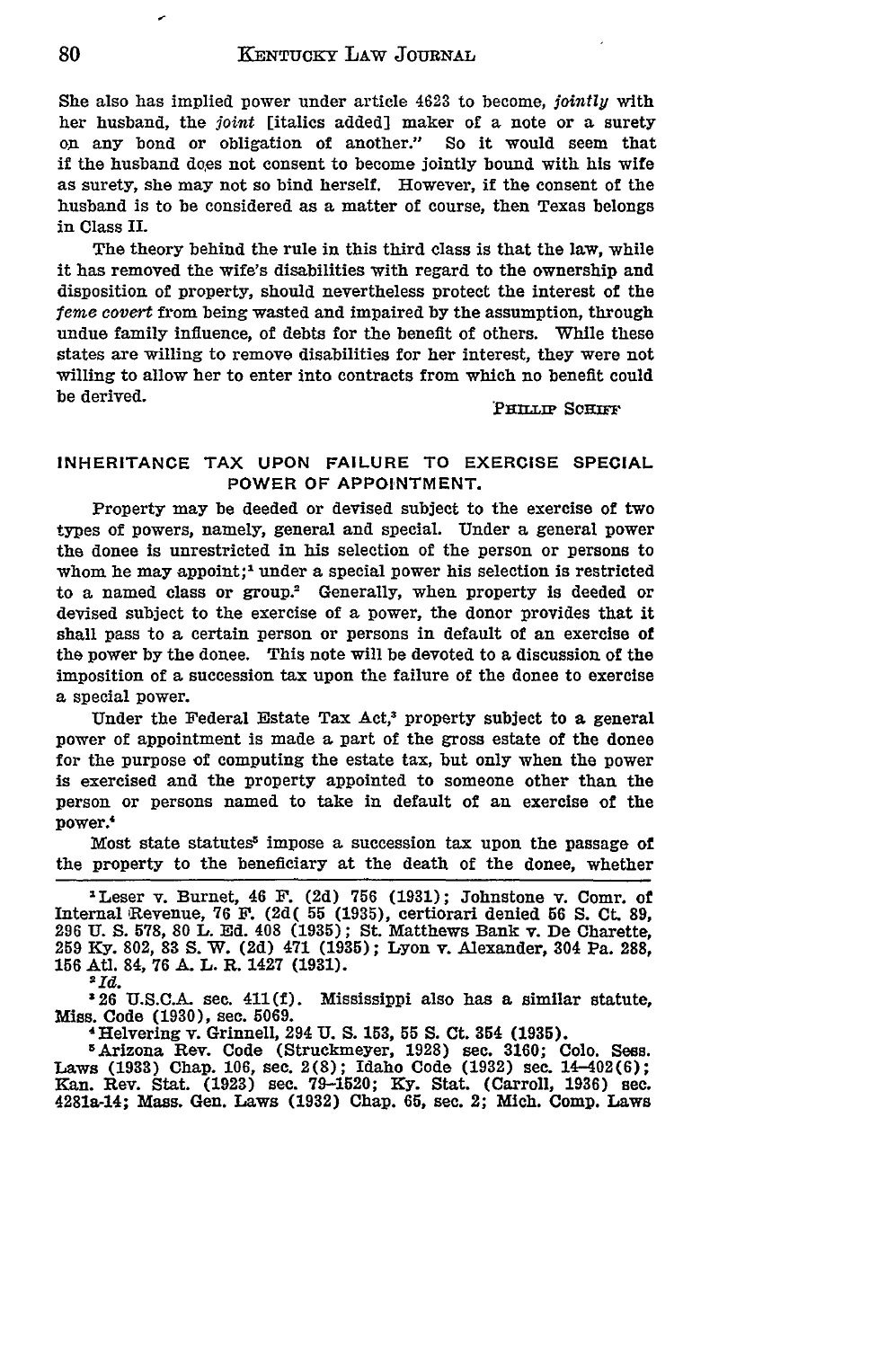She also has implied power under article 4623 to become, *jointly* with her husband, the *joint* [italics added] maker of a note or a surety on any bond or obligation of another." So it would seem that if the husband does not consent to become jointly bound with his wife as surety, she may not so bind herself. However, if the consent of the husband is to be considered as a matter of course, then Texas belongs in Class II.

The theory behind the rule in this third class is that the law, while it has removed the wife's disabilities with regard to the ownership and disposition of property, should nevertheless protect the interest of the *feme* covert from being wasted and impaired by the assumption, through undue family influence, of debts for the benefit of others. While these states are willing to remove disabilities for her interest, they were not willing to allow her to enter into contracts from which no benefit could be derived. **Example 20 and Solution 20 and 20 and 20 and 20 and 20 and 20 and 20 and 20 and 20 and 20 and 20 and 20 and 20 and 20 and 20 and 20 and 20 and 20 and 20 and 20 and 20 and 20 and 20 and 20 and 20 and 20 and 20** 

## **INHERITANCE TAX UPON FAILURE TO EXERCISE SPECIAL POWER OF APPOINTMENT.**

Property may be deeded or devised subject to the exercise of two types of powers, namely, general and special. Under a general power the donee is unrestricted in his selection of the person or persons to whom he may appoint;<sup>1</sup> under a special power his selection is restricted to a named class or group.<sup>2</sup> Generally, when property is deeded or devised subject to the exercise of a power, the donor provides that it shall pass to a certain person or persons in default of an exercise of the power **by** the donee. This note will be devoted to a discussion of the imposition of a succession tax upon the failure of the donee to exercise a special power.

Under the Federal Estate Tax Act,<sup>3</sup> property subject to a general power of appointment is made a part of the gross estate of the donee for the purpose of computing the estate tax, but only when the power is exercised and the property appointed to someone other than the person or persons named to take in default of an exercise of the power.'

Most state statutes<sup>5</sup> impose a succession tax upon the passage of the property to the beneficiary at the death of the donee, whether

<sup>1</sup> Leser v. Burnet, 46 **F. (2d) 756 (1931);** Johnstone v. Comr. of Internal 'Revenue, **76 F. (2d( 55 (1935),** certiorari denied **56 S. Ct. 89, 296 U. S. 578, 80** L. **Ed.** 408 **(1935);** St. Matthews Bank v. De Charette, **259 Ky. 802, 83 S.** W. **(2d)** 471 **(1935);** Lyon v. Alexander, 304 Pa. 288, **156** At. 84, **76 A.** L. R. 1427 **(1931).**

**2Id**

**326 U.S.C.A.** see. 411(f). Mississippi also has a similar statute, Miss. Code **(1930),** sec. **5069.**

4Helvering v. Grinnell, 294 **U. S. 153, 55 S.** Ct. 354 **(1935).**

**5Arizona** Rev. Code (Struckmeyer, **1928)** see. **3160; Colo.** Sees. Laws **(1933) Chap. 106,** see. **2(8);** Idaho Code **(1932)** sec. 14-402(6); Kan. Rev. Stat. **(1923)** sec. **79-1520; Ky.** Stat. (Carroll, **1936) sec.** 4281a-14; Mass. Gen. Laws **(1932)** Chap. **65,** sec. 2; Mich. Comp. Laws

80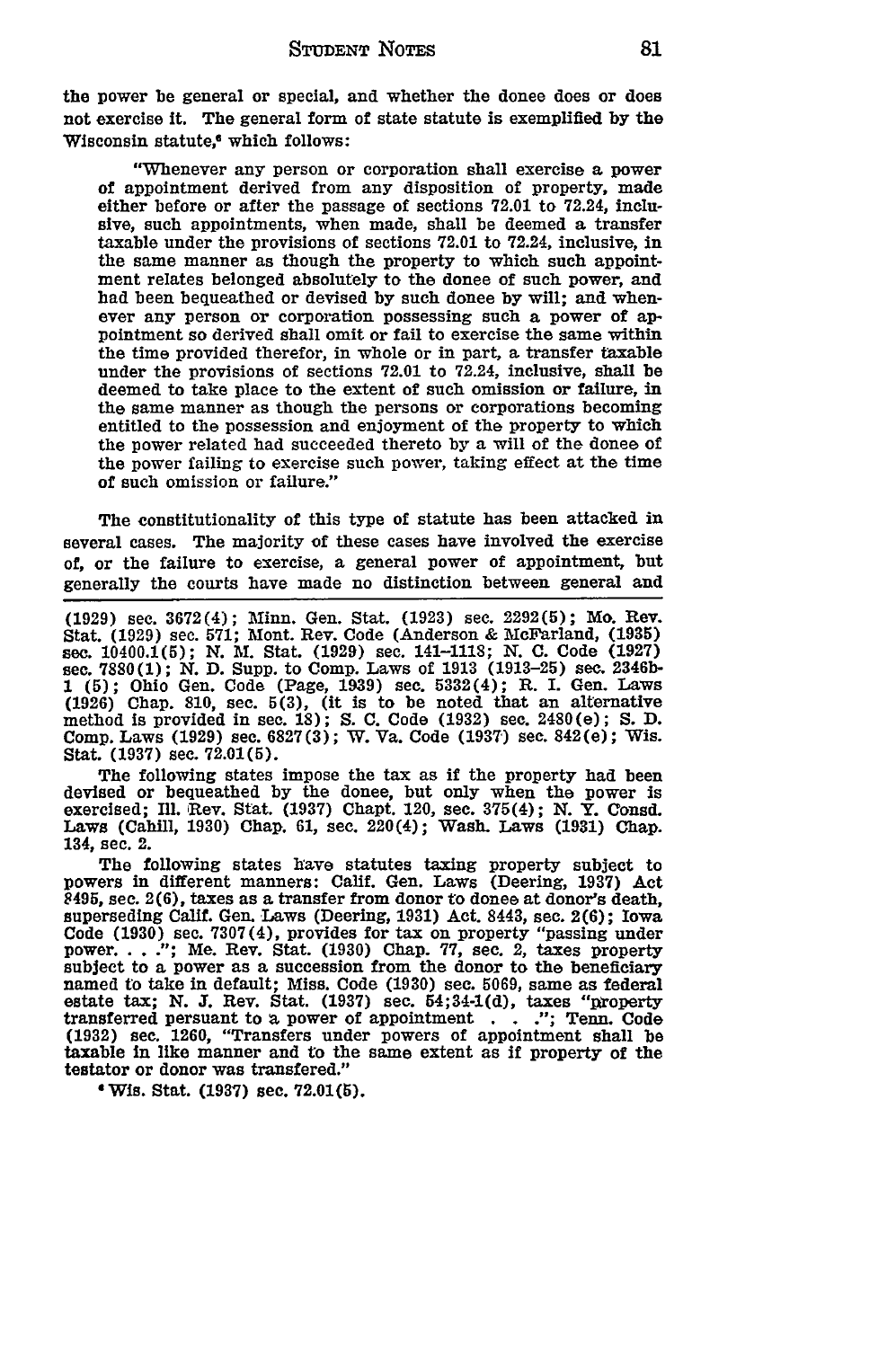the power be general or special, and whether the donee does or does not exercise it. The general form of state statute is exemplified **by** the Wisconsin statute.<sup>6</sup> which follows:

"Whenever any person or corporation shall exercise **a** power of appointment derived from any disposition of property, made either before or after the passage of sections **72.01** to 72.24, inclusive, such appointments, when made, shall be deemed a transfer taxable under the provisions of sections **72.01** to 72.24, inclusive, in the same manner as though the property to which such appointment relates belonged absolutely to the donee of such power, and had been bequeathed or devised **by** such donee **by** will; and whenever any person or corporation possessing such a power of appointment so derived shall omit or fail to exercise the same within the time provided therefor, in whole or in part, a transfer taxable under the provisions of sections **72.01** to 72.24, inclusive, shall **be** deemed to take place to the extent of such omission or failure, in the same manner as though the persons or corporations becoming entitled to the possession and enjoyment of the property to which the power related had succeeded thereto **by** a will of the donee of the power failing to exercise such power, taking effect at the time of such omission or failure."

The constitutionality of this type of statute has been attacked in several cases. The majority of these cases have involved the exercise of, or the failure to exercise, a general power of appointment, but generally the courts have made no distinction between general and

**(1929)** sec. **3672(4);** Minn. Gen. Stat. **(1923)** sec. **2292(5);** Mo. Rev. Stat. **(1929)** sec. **571;** Mont. Rev. Code (Anderson & McFarland, **(1935)** sec. 10400.1(5); **N.** M. Stat. **(1929)** sec. 141-1118; **N. C.** Code **(1927)** sec. **7880(1); N. D.** Supp. to Comp. Laws of **1913 (1913-25) sec. 2346b-**1 **(5);** Ohio Gen. Code (Page, **1939)** sec. 5332(4); R. I. Gen. Laws **(1926)** Chap. **810,** sec. **5(3),** (it is **to** be noted that an alternative method Is provided in see. **18); S. C.** Code **(1932)** sec. 2480(e); **S. D.** Comp. Laws **(1929)** sec. **6827(3);** W. Va. Code **(1937)** sec. 842(e); Wis. Stat. **(1937)** sec. **72.01(5).**

The following states impose the tax as if the property had been devised or bequeathed **by** the donee, but only when the power is exercised; **Ill.** Rev. Stat. **(1937)** Chapt. 120, sec. 375(4); **N.** Y. Consd. Laws (Cahill, **1930)** Chap. **61,** see. 220(4); Wash. Laws **(1931)** Chap. 134, sec. 2.

The following states have statutes taxing property subject to powers in different manners: Calif. Gen. Laws (Deering, **1937)** Act 8495, see. **2(6),** taxes as a transfer from donor to donee at donor's death, superseding Calif. Gen. Laws (Deering, 1931) Act. 8443, sec. 2(6); Iowa Code (1930) sec. 7307(4), provides for tax on property "passing under power. . . ."; Me. Rev. Stat. (1930) Chap. 77, sec. 2, taxes property subject to a power as a succession from the donor **to** the beneficiary named to take in default; Miss. Code **(1930)** sec. **5069,** same as federal estate tax; **N.** T. Rev. Stat. **(1937)** sec. 54;34-1(d), taxes "property transferred persuant to a power of appointment **. . .";** Tenn. Code **(1932)** sec. **1260,** "Transfers under powers of appointment shall **be** taxable in like manner and to the same extent as if property of the testator or donor was transfered."

**4** Wis. Stat. **(1937)** sec. **72.01(5).**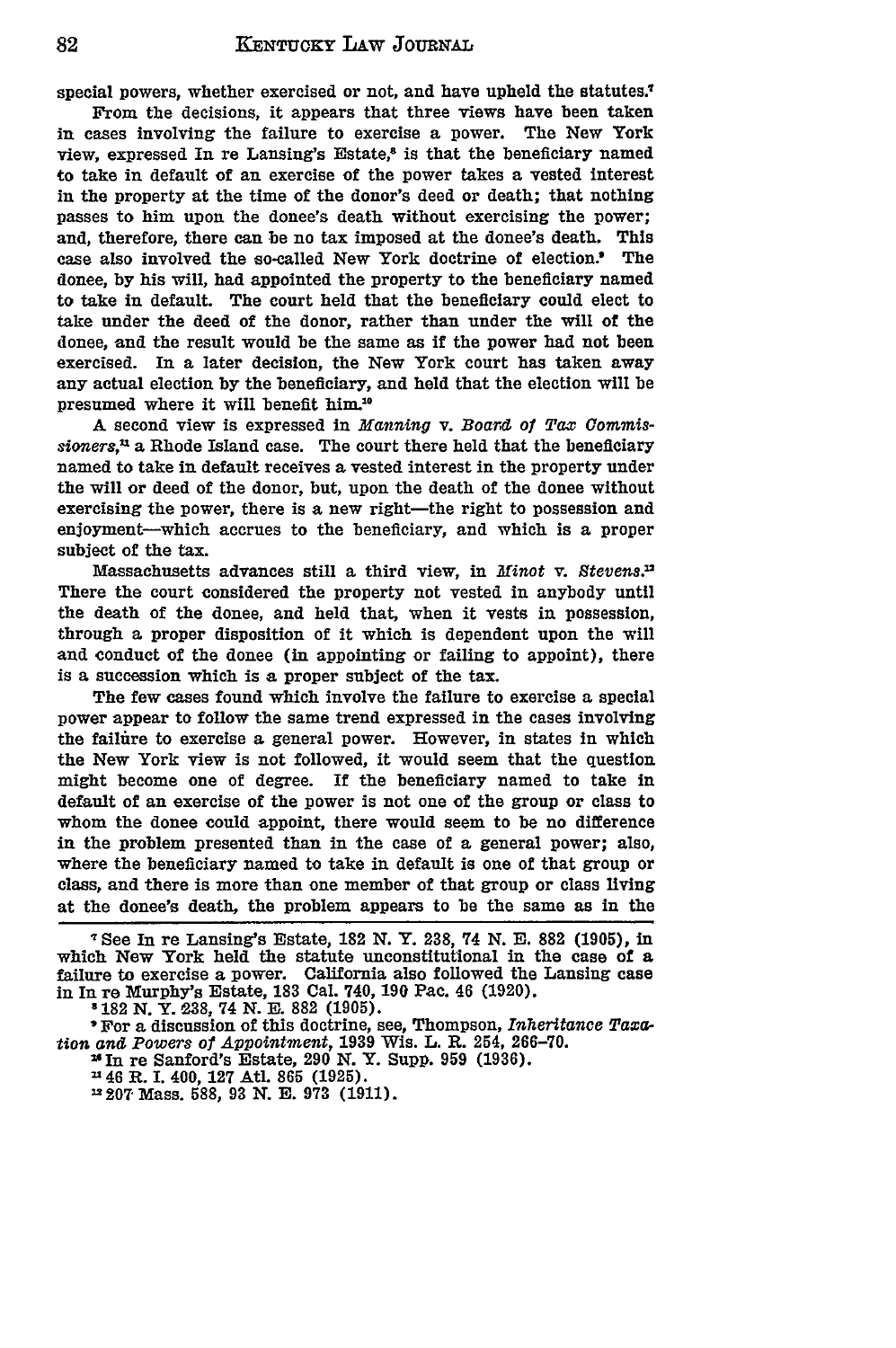special powers, whether exercised or not, and have upheld the statutes.<sup>7</sup>

From the decisions, it appears that three views have been taken in cases involving the failure to exercise a power. The New York view, expressed In re Lansing's Estate,<sup>8</sup> is that the beneficiary named to take in default of an exercise of the power takes a vested interest in the property at the time of the donor's deed or death; that nothing passes to him upon the donee's death without exercising the power; and, therefore, there can be no tax imposed at the donee's death. This case also involved the so-called New York doctrine of election.' The donee, **by** his will, had appointed the property to the beneficiary named to take in default. The court held that the beneficiary could elect to take under the deed of the donor, rather than under the will of the donee, and the result would be the same as if the power had not been exercised. In a later decision, the New York court has taken away any actual election **by** the beneficiary, and held that the election will be presumed where it will benefit him.<sup>10</sup>

A second view is expressed in *Manning* v. *Board of Tax Commissioners,1* a Rhode Island case. The court there held that the beneficiary named to take in default receives a vested interest in the property under the will or deed of the donor, but, upon the death of the donee without exercising the power, there is a new right-the right to possession and enjoyment-which accrues to the beneficiary, and which is a proper subject of the **tax.**

Massachusetts advances still a third view, in *Minot* v. *Stevens.2 2* There the court considered the property not vested in anybody until the death of the donee, and held that, when it vests in possession, through a proper disposition of it which is dependent upon the will and conduct of the donee (in appointing or failing to appoint), there is a succession which is a proper subject of the tax.

The few cases found which involve the failure to exercise a special power appear to follow the same trend expressed in the cases involving the failure to exercise a general power. However, in states In which the New York view is not followed, it would seem that the question might become one of degree. **If** the beneficiary named to take in default of an exercise of the power is not one of the group or class to whom the donee could appoint, there would seem to be no difference in the problem presented than in the case of a general power; also, where the beneficiary named to take in default is one of that group or class, and there is more than one member of that group or class living at the donee's death, the problem appears to be the same as in the

**7** See In **re** Lansing's Estate, **182 N.** Y. 238, 74 **N. E. 882 (1905),** In which New York held the statute unconstitutional in the case of a failure to exercise a power. California also followed the Lansing case in In **re** Murphy's Estate, **183** Cal. 740, **190** Pac. 46 **(1920).**

**'182 N.** Y. **238,** 74 **N. E. 882 (1905).**

'For a discussion of this doctrine, see, Thompson, Inheritance *Taxation and Powers of Appointment,* **1939** Wis. L. R. 254, **266-70.**

24in **re** Sanford's Estate, **290 N.** Y. Supp. **959 (1936).**

a'46 R. **I.** 400, **127** Atl. **865 (1925).**

**2207** Mass. **588, 93 N. E. 973 (1911).**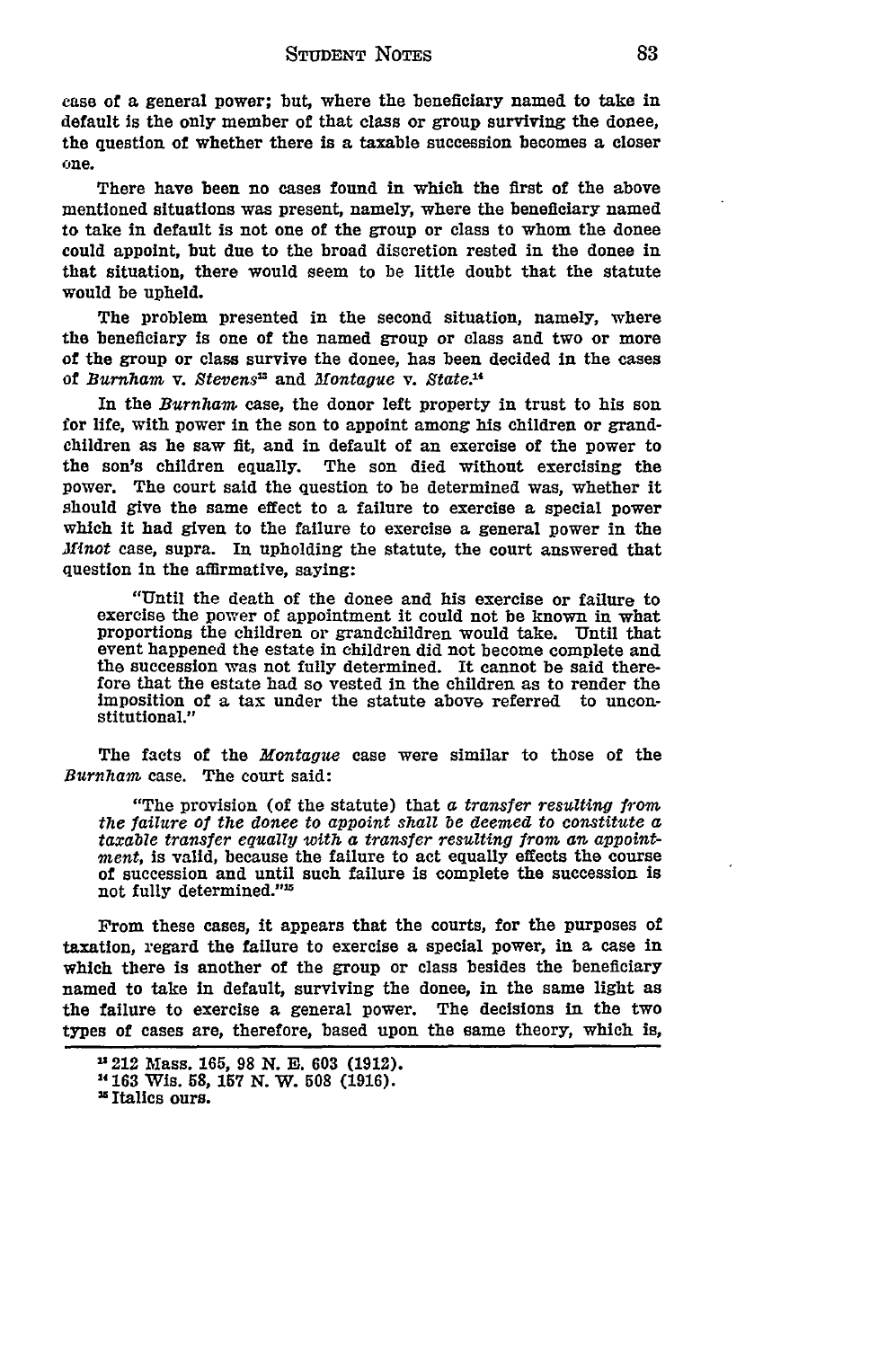case of a general power; but, where the beneficiary named to take in default is the only member of that class or group surviving the donee, the question of whether there is a taxable succession becomes a closer one.

There have been no cases found in which the first of the above mentioned situations was present, namely, where the beneficiary named to take in default is not one of the group or class to whom the donee could appoint, but due to the broad discretion rested in the donee in that situation, there would seem to be little doubt that the statute would be upheld.

The problem presented in the second situation, namely, where the beneficiary is one of the named group or class and two or more of the group or class survive the donee, has been decided in the cases of *Burnham* v. *Stevens"* and *Montague* v. *State.14*

In the *Burnham* case, the donor left property in trust to his son for life, with power in the son to appoint among his children or grandchildren as he saw fit, and in default of an exercise of the power to the son's children equally. The son died without exercising the power. The court said the question to be determined was, whether it should give the same effect to a failure to exercise a special power which it had given to the failure to exercise a general power in the *Minot* case, supra. In upholding the statute, the court answered that question in the affirmative, saying:

"Until the death of the donee and his exercise or failure to exercise the power of appointment it could not be known in what proportions the children or grandchildren would take. Until that event happened the estate in children did not become complete and the succession was not fully determined. It cannot be said therefore that the estate had so vested in the children as to render the Imposition of a tax under the statute above referred to uncon- **stitutional."1**

The facts of the *Montague* case were similar to those of the *Burnham* case. The court said:

"The provision (of the statute) that *a transfer resulting from the failure of the donee to appoint shall be deemed to constitute a taxable transfer equally with a transfer resulting from an appointment,* Is valid, because the failure to act equally effects the course of succession and until such failure is complete the succession is not fully determined."<sup>15</sup>

From these cases, it appears that the courts, for the purposes of taxation, regard the failure to exercise a special power, in a case in which there is another of the group or class besides the beneficiary named to take in default, surviving the donee, in the same light as the failure to exercise a general power. The decisions in the two types of cases are, therefore, based upon the same theory, which is,

<sup>212</sup> Mass. 165, **98 N. E. 603** (1912).

**<sup>1163</sup>** Wis. 58, 157 **N.** W. **508 (1916).**

<sup>&</sup>lt;sup>15</sup> Italics ours.